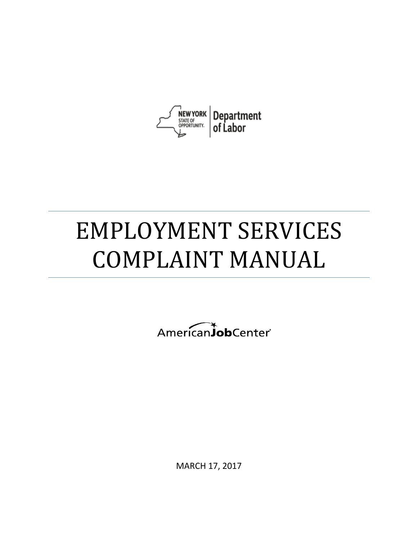

# EMPLOYMENT SERVICES COMPLAINT MANUAL

AmericanJobCenter®

MARCH 17, 2017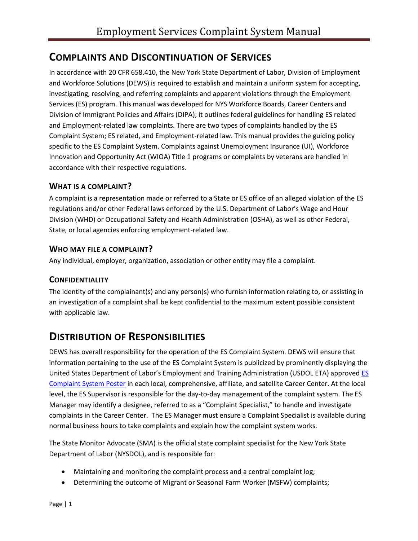# **COMPLAINTS AND DISCONTINUATION OF SERVICES**

In accordance with 20 CFR 658.410, the New York State Department of Labor, Division of Employment and Workforce Solutions (DEWS) is required to establish and maintain a uniform system for accepting, investigating, resolving, and referring complaints and apparent violations through the Employment Services (ES) program. This manual was developed for NYS Workforce Boards, Career Centers and Division of Immigrant Policies and Affairs (DIPA); it outlines federal guidelines for handling ES related and Employment-related law complaints. There are two types of complaints handled by the ES Complaint System; ES related, and Employment-related law. This manual provides the guiding policy specific to the ES Complaint System. Complaints against Unemployment Insurance (UI), Workforce Innovation and Opportunity Act (WIOA) Title 1 programs or complaints by veterans are handled in accordance with their respective regulations.

#### **WHAT IS A COMPLAINT?**

A complaint is a representation made or referred to a State or ES office of an alleged violation of the ES regulations and/or other Federal laws enforced by the U.S. Department of Labor's Wage and Hour Division (WHD) or Occupational Safety and Health Administration (OSHA), as well as other Federal, State, or local agencies enforcing employment-related law.

#### **WHO MAY FILE A COMPLAINT?**

Any individual, employer, organization, association or other entity may file a complaint.

#### **CONFIDENTIALITY**

The identity of the complainant(s) and any person(s) who furnish information relating to, or assisting in an investigation of a complaint shall be kept confidential to the maximum extent possible consistent with applicable law.

## **DISTRIBUTION OF RESPONSIBILITIES**

DEWS has overall responsibility for the operation of the ES Complaint System. DEWS will ensure that information pertaining to the use of the ES Complaint System is publicized by prominently displaying the United States Department of Labor's Employment and Training Administration (USDOL ETA) approve[d ES](https://www.labor.ny.gov/formsdocs/dews/p834.pdf)  [Complaint System Poster](https://www.labor.ny.gov/formsdocs/dews/p834.pdf) in each local, comprehensive, affiliate, and satellite Career Center. At the local level, the ES Supervisor is responsible for the day-to-day management of the complaint system. The ES Manager may identify a designee, referred to as a "Complaint Specialist," to handle and investigate complaints in the Career Center. The ES Manager must ensure a Complaint Specialist is available during normal business hours to take complaints and explain how the complaint system works.

The State Monitor Advocate (SMA) is the official state complaint specialist for the New York State Department of Labor (NYSDOL), and is responsible for:

- Maintaining and monitoring the complaint process and a central complaint log;
- Determining the outcome of Migrant or Seasonal Farm Worker (MSFW) complaints;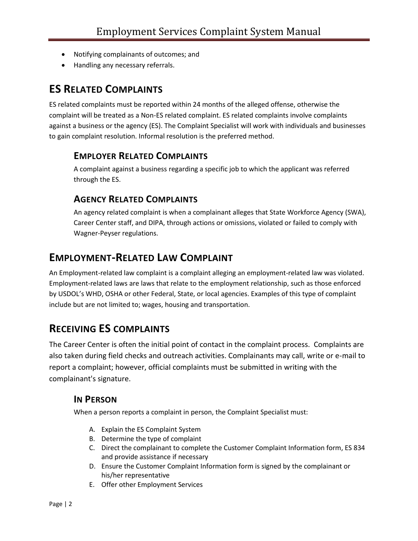- Notifying complainants of outcomes; and
- Handling any necessary referrals.

# **ES RELATED COMPLAINTS**

ES related complaints must be reported within 24 months of the alleged offense, otherwise the complaint will be treated as a Non-ES related complaint. ES related complaints involve complaints against a business or the agency (ES). The Complaint Specialist will work with individuals and businesses to gain complaint resolution. Informal resolution is the preferred method.

#### **EMPLOYER RELATED COMPLAINTS**

A complaint against a business regarding a specific job to which the applicant was referred through the ES.

## **AGENCY RELATED COMPLAINTS**

An agency related complaint is when a complainant alleges that State Workforce Agency (SWA), Career Center staff, and DIPA, through actions or omissions, violated or failed to comply with Wagner-Peyser regulations.

## **EMPLOYMENT-RELATED LAW COMPLAINT**

An Employment-related law complaint is a complaint alleging an employment-related law was violated. Employment-related laws are laws that relate to the employment relationship, such as those enforced by USDOL's WHD, OSHA or other Federal, State, or local agencies. Examples of this type of complaint include but are not limited to; wages, housing and transportation.

# **RECEIVING ES COMPLAINTS**

The Career Center is often the initial point of contact in the complaint process. Complaints are also taken during field checks and outreach activities. Complainants may call, write or e-mail to report a complaint; however, official complaints must be submitted in writing with the complainant's signature.

#### **IN PERSON**

When a person reports a complaint in person, the Complaint Specialist must:

- A. Explain the ES Complaint System
- B. Determine the type of complaint
- C. Direct the complainant to complete the Customer Complaint Information form, ES 834 and provide assistance if necessary
- D. Ensure the Customer Complaint Information form is signed by the complainant or his/her representative
- E. Offer other Employment Services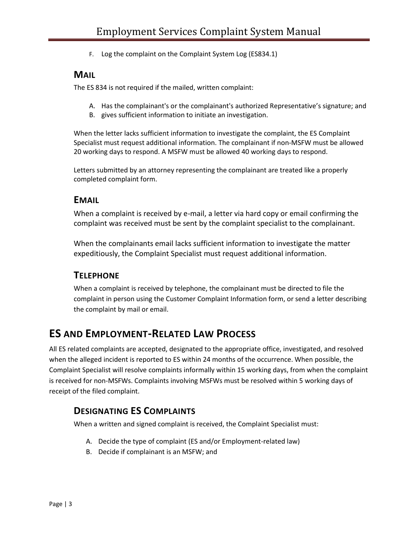F. Log the complaint on the Complaint System Log (ES834.1)

#### **MAIL**

The ES 834 is not required if the mailed, written complaint:

- A. Has the complainant's or the complainant's authorized Representative's signature; and
- B. gives sufficient information to initiate an investigation.

When the letter lacks sufficient information to investigate the complaint, the ES Complaint Specialist must request additional information. The complainant if non-MSFW must be allowed 20 working days to respond. A MSFW must be allowed 40 working days to respond.

Letters submitted by an attorney representing the complainant are treated like a properly completed complaint form.

#### **EMAIL**

When a complaint is received by e-mail, a letter via hard copy or email confirming the complaint was received must be sent by the complaint specialist to the complainant.

When the complainants email lacks sufficient information to investigate the matter expeditiously, the Complaint Specialist must request additional information.

#### **TELEPHONE**

When a complaint is received by telephone, the complainant must be directed to file the complaint in person using the Customer Complaint Information form, or send a letter describing the complaint by mail or email.

# **ES AND EMPLOYMENT-RELATED LAW PROCESS**

All ES related complaints are accepted, designated to the appropriate office, investigated, and resolved when the alleged incident is reported to ES within 24 months of the occurrence. When possible, the Complaint Specialist will resolve complaints informally within 15 working days, from when the complaint is received for non-MSFWs. Complaints involving MSFWs must be resolved within 5 working days of receipt of the filed complaint.

#### **DESIGNATING ES COMPLAINTS**

When a written and signed complaint is received, the Complaint Specialist must:

- A. Decide the type of complaint (ES and/or Employment-related law)
- B. Decide if complainant is an MSFW; and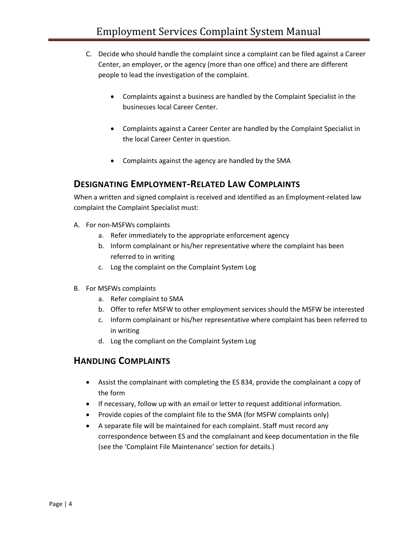- C. Decide who should handle the complaint since a complaint can be filed against a Career Center, an employer, or the agency (more than one office) and there are different people to lead the investigation of the complaint.
	- Complaints against a business are handled by the Complaint Specialist in the businesses local Career Center.
	- Complaints against a Career Center are handled by the Complaint Specialist in the local Career Center in question.
	- Complaints against the agency are handled by the SMA

#### **DESIGNATING EMPLOYMENT-RELATED LAW COMPLAINTS**

When a written and signed complaint is received and identified as an Employment-related law complaint the Complaint Specialist must:

- A. For non-MSFWs complaints
	- a. Refer immediately to the appropriate enforcement agency
	- b. Inform complainant or his/her representative where the complaint has been referred to in writing
	- c. Log the complaint on the Complaint System Log
- B. For MSFWs complaints
	- a. Refer complaint to SMA
	- b. Offer to refer MSFW to other employment services should the MSFW be interested
	- c. Inform complainant or his/her representative where complaint has been referred to in writing
	- d. Log the compliant on the Complaint System Log

#### **HANDLING COMPLAINTS**

- Assist the complainant with completing the ES 834, provide the complainant a copy of the form
- If necessary, follow up with an email or letter to request additional information.
- Provide copies of the complaint file to the SMA (for MSFW complaints only)
- A separate file will be maintained for each complaint. Staff must record any correspondence between ES and the complainant and keep documentation in the file (see the 'Complaint File Maintenance' section for details.)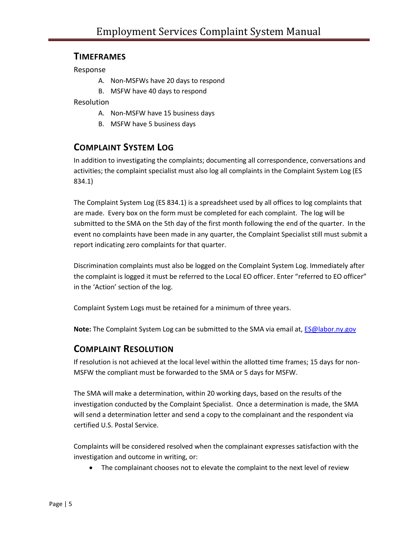#### **TIMEFRAMES**

Response

- A. Non-MSFWs have 20 days to respond
- B. MSFW have 40 days to respond

Resolution

- A. Non-MSFW have 15 business days
- B. MSFW have 5 business days

#### **COMPLAINT SYSTEM LOG**

In addition to investigating the complaints; documenting all correspondence, conversations and activities; the complaint specialist must also log all complaints in the Complaint System Log (ES 834.1)

The Complaint System Log (ES 834.1) is a spreadsheet used by all offices to log complaints that are made. Every box on the form must be completed for each complaint. The log will be submitted to the SMA on the 5th day of the first month following the end of the quarter. In the event no complaints have been made in any quarter, the Complaint Specialist still must submit a report indicating zero complaints for that quarter.

Discrimination complaints must also be logged on the Complaint System Log. Immediately after the complaint is logged it must be referred to the Local EO officer. Enter "referred to EO officer" in the 'Action' section of the log.

Complaint System Logs must be retained for a minimum of three years.

**Note:** The Complaint System Log can be submitted to the SMA via email at, [ES@labor.ny.gov](mailto:ES@labor.ny.gov)

#### **COMPLAINT RESOLUTION**

If resolution is not achieved at the local level within the allotted time frames; 15 days for non-MSFW the compliant must be forwarded to the SMA or 5 days for MSFW.

The SMA will make a determination, within 20 working days, based on the results of the investigation conducted by the Complaint Specialist. Once a determination is made, the SMA will send a determination letter and send a copy to the complainant and the respondent via certified U.S. Postal Service.

Complaints will be considered resolved when the complainant expresses satisfaction with the investigation and outcome in writing, or:

• The complainant chooses not to elevate the complaint to the next level of review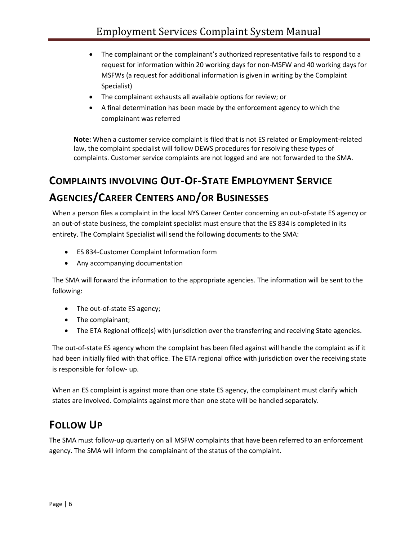- The complainant or the complainant's authorized representative fails to respond to a request for information within 20 working days for non-MSFW and 40 working days for MSFWs (a request for additional information is given in writing by the Complaint Specialist)
- The complainant exhausts all available options for review; or
- A final determination has been made by the enforcement agency to which the complainant was referred

**Note:** When a customer service complaint is filed that is not ES related or Employment-related law, the complaint specialist will follow DEWS procedures for resolving these types of complaints. Customer service complaints are not logged and are not forwarded to the SMA.

# **COMPLAINTS INVOLVING OUT-OF-STATE EMPLOYMENT SERVICE AGENCIES/CAREER CENTERS AND/OR BUSINESSES**

When a person files a complaint in the local NYS Career Center concerning an out-of-state ES agency or an out-of-state business, the complaint specialist must ensure that the ES 834 is completed in its entirety. The Complaint Specialist will send the following documents to the SMA:

- ES 834-Customer Complaint Information form
- Any accompanying documentation

The SMA will forward the information to the appropriate agencies. The information will be sent to the following:

- The out-of-state ES agency;
- The complainant;
- The ETA Regional office(s) with jurisdiction over the transferring and receiving State agencies.

The out-of-state ES agency whom the complaint has been filed against will handle the complaint as if it had been initially filed with that office. The ETA regional office with jurisdiction over the receiving state is responsible for follow- up.

When an ES complaint is against more than one state ES agency, the complainant must clarify which states are involved. Complaints against more than one state will be handled separately.

# **FOLLOW UP**

The SMA must follow-up quarterly on all MSFW complaints that have been referred to an enforcement agency. The SMA will inform the complainant of the status of the complaint.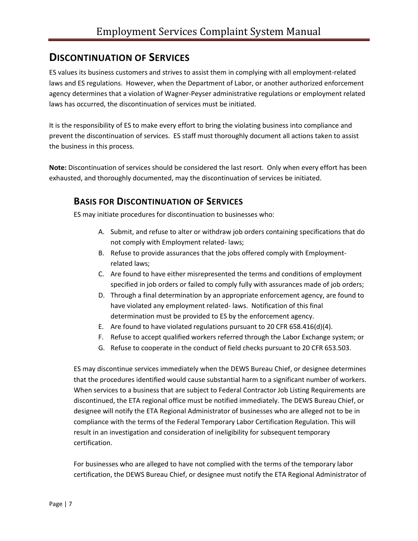# **DISCONTINUATION OF SERVICES**

ES values its business customers and strives to assist them in complying with all employment-related laws and ES regulations. However, when the Department of Labor, or another authorized enforcement agency determines that a violation of Wagner-Peyser administrative regulations or employment related laws has occurred, the discontinuation of services must be initiated.

It is the responsibility of ES to make every effort to bring the violating business into compliance and prevent the discontinuation of services. ES staff must thoroughly document all actions taken to assist the business in this process.

**Note:** Discontinuation of services should be considered the last resort. Only when every effort has been exhausted, and thoroughly documented, may the discontinuation of services be initiated.

#### **BASIS FOR DISCONTINUATION OF SERVICES**

ES may initiate procedures for discontinuation to businesses who:

- A. Submit, and refuse to alter or withdraw job orders containing specifications that do not comply with Employment related- laws;
- B. Refuse to provide assurances that the jobs offered comply with Employmentrelated laws;
- C. Are found to have either misrepresented the terms and conditions of employment specified in job orders or failed to comply fully with assurances made of job orders;
- D. Through a final determination by an appropriate enforcement agency, are found to have violated any employment related- laws. Notification of this final determination must be provided to ES by the enforcement agency.
- E. Are found to have violated regulations pursuant to 20 CFR 658.416(d)(4).
- F. Refuse to accept qualified workers referred through the Labor Exchange system; or
- G. Refuse to cooperate in the conduct of field checks pursuant to 20 CFR 653.503.

ES may discontinue services immediately when the DEWS Bureau Chief, or designee determines that the procedures identified would cause substantial harm to a significant number of workers. When services to a business that are subject to Federal Contractor Job Listing Requirements are discontinued, the ETA regional office must be notified immediately. The DEWS Bureau Chief, or designee will notify the ETA Regional Administrator of businesses who are alleged not to be in compliance with the terms of the Federal Temporary Labor Certification Regulation. This will result in an investigation and consideration of ineligibility for subsequent temporary certification.

For businesses who are alleged to have not complied with the terms of the temporary labor certification, the DEWS Bureau Chief, or designee must notify the ETA Regional Administrator of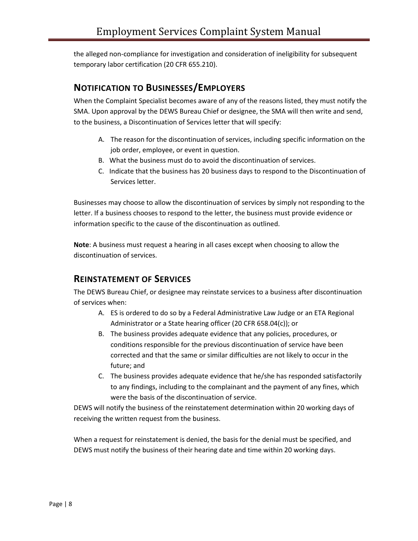the alleged non-compliance for investigation and consideration of ineligibility for subsequent temporary labor certification (20 CFR 655.210).

#### **NOTIFICATION TO BUSINESSES/EMPLOYERS**

When the Complaint Specialist becomes aware of any of the reasons listed, they must notify the SMA. Upon approval by the DEWS Bureau Chief or designee, the SMA will then write and send, to the business, a Discontinuation of Services letter that will specify:

- A. The reason for the discontinuation of services, including specific information on the job order, employee, or event in question.
- B. What the business must do to avoid the discontinuation of services.
- C. Indicate that the business has 20 business days to respond to the Discontinuation of Services letter.

Businesses may choose to allow the discontinuation of services by simply not responding to the letter. If a business chooses to respond to the letter, the business must provide evidence or information specific to the cause of the discontinuation as outlined.

**Note**: A business must request a hearing in all cases except when choosing to allow the discontinuation of services.

## **REINSTATEMENT OF SERVICES**

The DEWS Bureau Chief, or designee may reinstate services to a business after discontinuation of services when:

- A. ES is ordered to do so by a Federal Administrative Law Judge or an ETA Regional Administrator or a State hearing officer (20 CFR 658.04(c)); or
- B. The business provides adequate evidence that any policies, procedures, or conditions responsible for the previous discontinuation of service have been corrected and that the same or similar difficulties are not likely to occur in the future; and
- C. The business provides adequate evidence that he/she has responded satisfactorily to any findings, including to the complainant and the payment of any fines, which were the basis of the discontinuation of service.

DEWS will notify the business of the reinstatement determination within 20 working days of receiving the written request from the business.

When a request for reinstatement is denied, the basis for the denial must be specified, and DEWS must notify the business of their hearing date and time within 20 working days.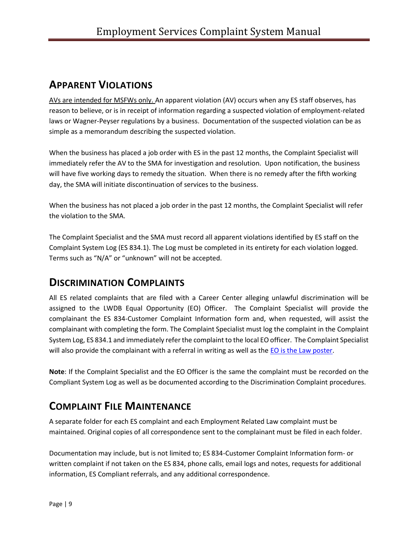# **APPARENT VIOLATIONS**

AVs are intended for MSFWs only. An apparent violation (AV) occurs when any ES staff observes, has reason to believe, or is in receipt of information regarding a suspected violation of employment-related laws or Wagner-Peyser regulations by a business. Documentation of the suspected violation can be as simple as a memorandum describing the suspected violation.

When the business has placed a job order with ES in the past 12 months, the Complaint Specialist will immediately refer the AV to the SMA for investigation and resolution. Upon notification, the business will have five working days to remedy the situation. When there is no remedy after the fifth working day, the SMA will initiate discontinuation of services to the business.

When the business has not placed a job order in the past 12 months, the Complaint Specialist will refer the violation to the SMA.

The Complaint Specialist and the SMA must record all apparent violations identified by ES staff on the Complaint System Log (ES 834.1). The Log must be completed in its entirety for each violation logged. Terms such as "N/A" or "unknown" will not be accepted.

# **DISCRIMINATION COMPLAINTS**

All ES related complaints that are filed with a Career Center alleging unlawful discrimination will be assigned to the LWDB Equal Opportunity (EO) Officer. The Complaint Specialist will provide the complainant the ES 834-Customer Complaint Information form and, when requested, will assist the complainant with completing the form. The Complaint Specialist must log the complaint in the Complaint System Log, ES 834.1 and immediately refer the complaint to the local EO officer. The Complaint Specialist will also provide the complainant with a referral in writing as well as the [EO is the Law poster.](https://www.labor.ny.gov/formsdocs/DEOD/DEOD310.pdf)

**Note**: If the Complaint Specialist and the EO Officer is the same the complaint must be recorded on the Compliant System Log as well as be documented according to the Discrimination Complaint procedures.

# **COMPLAINT FILE MAINTENANCE**

A separate folder for each ES complaint and each Employment Related Law complaint must be maintained. Original copies of all correspondence sent to the complainant must be filed in each folder.

Documentation may include, but is not limited to; ES 834-Customer Complaint Information form- or written complaint if not taken on the ES 834, phone calls, email logs and notes, requests for additional information, ES Compliant referrals, and any additional correspondence.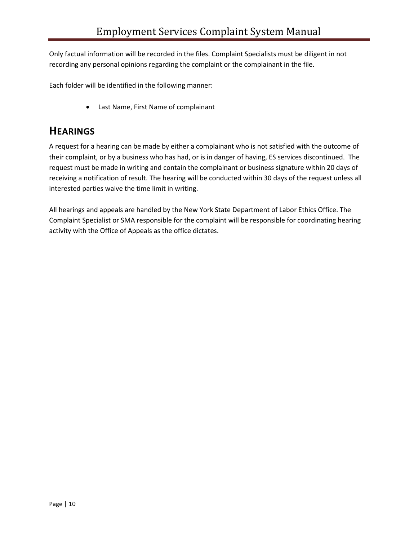Only factual information will be recorded in the files. Complaint Specialists must be diligent in not recording any personal opinions regarding the complaint or the complainant in the file.

Each folder will be identified in the following manner:

• Last Name, First Name of complainant

# **HEARINGS**

A request for a hearing can be made by either a complainant who is not satisfied with the outcome of their complaint, or by a business who has had, or is in danger of having, ES services discontinued. The request must be made in writing and contain the complainant or business signature within 20 days of receiving a notification of result. The hearing will be conducted within 30 days of the request unless all interested parties waive the time limit in writing.

All hearings and appeals are handled by the New York State Department of Labor Ethics Office. The Complaint Specialist or SMA responsible for the complaint will be responsible for coordinating hearing activity with the Office of Appeals as the office dictates.